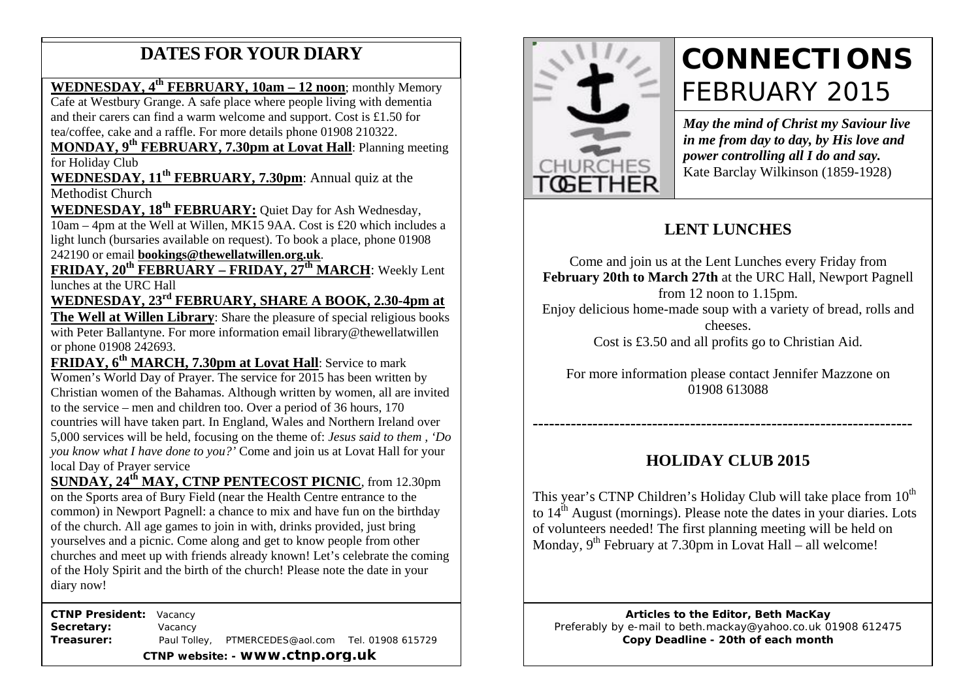## **DATES FOR YOUR DIARY**

**WEDNESDAY, 4th FEBRUARY, 10am – 12 noon**; monthly Memory

Cafe at Westbury Grange. A safe place where people living with dementia and their carers can find a warm welcome and support. Cost is £1.50 for tea/coffee, cake and a raffle. For more details phone 01908 210322.

 **MONDAY, 9th FEBRUARY, 7.30pm at Lovat Hall**: Planning meeting for Holiday Club

**WEDNESDAY, 11<sup>th</sup> FEBRUARY, 7.30pm**: Annual quiz at the Methodist Church Methodist Church

WEDNESDAY, 18<sup>th</sup> FEBRUARY: Quiet Day for Ash Wednesday, 10am – 4pm at the Well at Willen, MK15 9AA. Cost is £20 which includes a light lunch (bursaries available on request). To book a place, phone 01908 242190 or email **bookings@thewellatwillen.org.uk**.

**FRIDAY, 20th FEBRUARY – FRIDAY, 27th MARCH**: Weekly Lent lunches at the URC Hall

**WEDNESDAY, 23rd FEBRUARY, SHARE A BOOK, 2.30-4pm at The Well at Willen Library**: Share the pleasure of special religious books with Peter Ballantyne. For more information email library@thewellatwillen or phone 01908 242693.

**FRIDAY, 6<sup>th</sup> MARCH, 7.30pm at Lovat Hall: Service to mark** Women's World Day of Prayer. The service for 2015 has been written by Christian women of the Bahamas. Although written by women, all are invited to the service – men and children too. Over a period of 36 hours, 170 countries will have taken part. In England, Wales and Northern Ireland over 5,000 services will be held, focusing on the theme of: *Jesus said to them , 'Do you know what I have done to you?'* Come and join us at Lovat Hall for your local Day of Prayer service

**SUNDAY, 24th MAY, CTNP PENTECOST PICNIC**, from 12.30pm on the Sports area of Bury Field (near the Health Centre entrance to the common) in Newport Pagnell: a chance to mix and have fun on the birthday of the church. All age games to join in with, drinks provided, just bring yourselves and a picnic. Come along and get to know people from other churches and meet up with friends already known! Let's celebrate the coming of the Holy Spirit and the birth of the church! Please note the date in your diary now!

 **CTNP President:** Vacancy Secretary: **Vacancy Treasurer:** Paul Tolley, PTMERCEDES@aol.com Tel. 01908 615729 **CTNP website: - www.ctnp.org.uk**



# **CONNECTIONS** FEBRUARY 2015

*May the mind of Christ my Saviour live in me from day to day, by His love and power controlling all I do and say.* Kate Barclay Wilkinson (1859-1928)

## **LENT LUNCHES**

Come and join us at the Lent Lunches every Friday from **February 20th to March 27th** at the URC Hall, Newport Pagnell from 12 noon to 1.15pm. Enjoy delicious home-made soup with a variety of bread, rolls and cheeses. Cost is £3.50 and all profits go to Christian Aid.

For more information please contact Jennifer Mazzone on 01908 613088

## **HOLIDAY CLUB 2015**

**----------------------------------------------------------------------**

This year's CTNP Children's Holiday Club will take place from  $10<sup>th</sup>$ to  $14<sup>th</sup>$  August (mornings). Please note the dates in your diaries. Lots of volunteers needed! The first planning meeting will be held on Monday,  $9^{th}$  February at 7.30pm in Lovat Hall – all welcome!

**Articles to the Editor, Beth MacKay** Preferably by e-mail to beth.mackay@yahoo.co.uk 01908 612475 **Copy Deadline - 20th of each month**